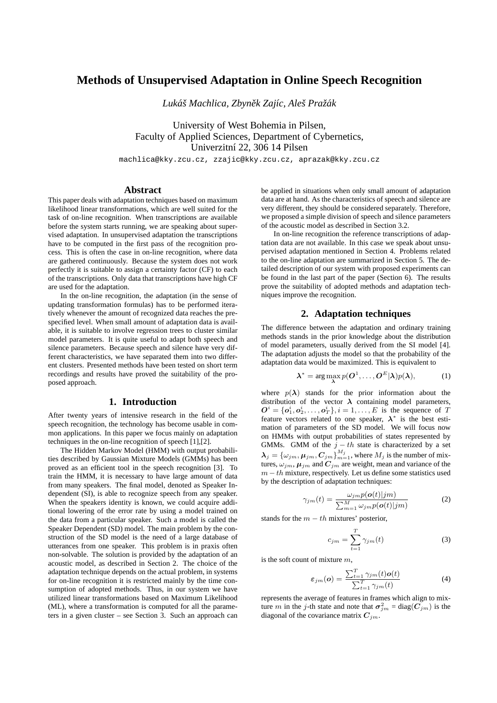# **Methods of Unsupervised Adaptation in Online Speech Recognition**

*Luka´s Machlica, Zbyn ˇ ek Zaj ˇ ´ıc, Ales Pra ˇ zˇak´*

University of West Bohemia in Pilsen, Faculty of Applied Sciences, Department of Cybernetics, Univerzitní 22, 306 14 Pilsen

machlica@kky.zcu.cz, zzajic@kky.zcu.cz, aprazak@kky.zcu.cz

#### **Abstract**

This paper deals with adaptation techniques based on maximum likelihood linear transformations, which are well suited for the task of on-line recognition. When transcriptions are available before the system starts running, we are speaking about supervised adaptation. In unsupervised adaptation the transcriptions have to be computed in the first pass of the recognition process. This is often the case in on-line recognition, where data are gathered continuously. Because the system does not work perfectly it is suitable to assign a certainty factor (CF) to each of the transcriptions. Only data that transcriptions have high CF are used for the adaptation.

In the on-line recognition, the adaptation (in the sense of updating transformation formulas) has to be performed iteratively whenever the amount of recognized data reaches the prespecified level. When small amount of adaptation data is available, it is suitable to involve regression trees to cluster similar model parameters. It is quite useful to adapt both speech and silence parameters. Because speech and silence have very different characteristics, we have separated them into two different clusters. Presented methods have been tested on short term recordings and results have proved the suitability of the proposed approach.

## **1. Introduction**

After twenty years of intensive research in the field of the speech recognition, the technology has become usable in common applications. In this paper we focus mainly on adaptation techniques in the on-line recognition of speech [1],[2].

The Hidden Markov Model (HMM) with output probabilities described by Gaussian Mixture Models (GMMs) has been proved as an efficient tool in the speech recognition [3]. To train the HMM, it is necessary to have large amount of data from many speakers. The final model, denoted as Speaker Independent (SI), is able to recognize speech from any speaker. When the speakers identity is known, we could acquire additional lowering of the error rate by using a model trained on the data from a particular speaker. Such a model is called the Speaker Dependent (SD) model. The main problem by the construction of the SD model is the need of a large database of utterances from one speaker. This problem is in praxis often non-solvable. The solution is provided by the adaptation of an acoustic model, as described in Section 2. The choice of the adaptation technique depends on the actual problem, in systems for on-line recognition it is restricted mainly by the time consumption of adopted methods. Thus, in our system we have utilized linear transformations based on Maximum Likelihood (ML), where a transformation is computed for all the parameters in a given cluster – see Section 3. Such an approach can be applied in situations when only small amount of adaptation data are at hand. As the characteristics of speech and silence are very different, they should be considered separately. Therefore, we proposed a simple division of speech and silence parameters of the acoustic model as described in Section 3.2.

In on-line recognition the reference transcriptions of adaptation data are not available. In this case we speak about unsupervised adaptation mentioned in Section 4. Problems related to the on-line adaptation are summarized in Section 5. The detailed description of our system with proposed experiments can be found in the last part of the paper (Section 6). The results prove the suitability of adopted methods and adaptation techniques improve the recognition.

## **2. Adaptation techniques**

The difference between the adaptation and ordinary training methods stands in the prior knowledge about the distribution of model parameters, usually derived from the SI model [4]. The adaptation adjusts the model so that the probability of the adaptation data would be maximized. This is equivalent to

$$
\lambda^* = \arg\max_{\lambda} p(O^1, \dots, O^E|\lambda)p(\lambda), \tag{1}
$$

where  $p(\lambda)$  stands for the prior information about the distribution of the vector  $\lambda$  containing model parameters,  $O^i = \{o_1^i, o_2^i, \dots, o_T^i\}, i = 1, \dots, E$  is the sequence of T feature vectors related to one speaker,  $\lambda^*$  is the best estimation of parameters of the SD model. We will focus now on HMMs with output probabilities of states represented by GMMs. GMM of the  $j - th$  state is characterized by a set  $\bm{\lambda}_j = \{\omega_{j m}, \bm{\mu}_{j m}, \bm{C}_{j m}\}_{m=1}^{M_j}$ , where  $M_j$  is the number of mixtures,  $\omega_{jm}$ ,  $\mu_{jm}$  and  $C_{jm}$  are weight, mean and variance of the  $m-th$  mixture, respectively. Let us define some statistics used by the description of adaptation techniques:

$$
\gamma_{jm}(t) = \frac{\omega_{jm} p(o(t)|jm)}{\sum_{m=1}^{M} \omega_{jm} p(o(t)|jm)} \tag{2}
$$

stands for the  $m - th$  mixtures' posterior.

$$
c_{jm} = \sum_{t=1}^{T} \gamma_{jm}(t) \tag{3}
$$

is the soft count of mixture m,

$$
\varepsilon_{jm}(\boldsymbol{o}) = \frac{\sum_{t=1}^{T} \gamma_{jm}(t) \boldsymbol{o}(t)}{\sum_{t=1}^{T} \gamma_{jm}(t)}
$$
(4)

represents the average of features in frames which align to mixture m in the j-th state and note that  $\sigma_{jm}^2 = \text{diag}(C_{jm})$  is the diagonal of the covariance matrix  $C_{jm}$ .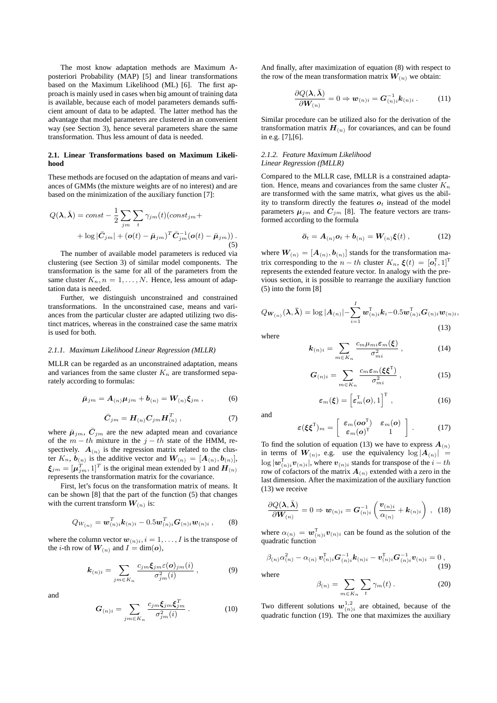The most know adaptation methods are Maximum Aposteriori Probability (MAP) [5] and linear transformations based on the Maximum Likelihood (ML) [6]. The first approach is mainly used in cases when big amount of training data is available, because each of model parameters demands sufficient amount of data to be adapted. The latter method has the advantage that model parameters are clustered in an convenient way (see Section 3), hence several parameters share the same transformation. Thus less amount of data is needed.

#### **2.1. Linear Transformations based on Maximum Likelihood**

These methods are focused on the adaptation of means and variances of GMMs (the mixture weights are of no interest) and are based on the minimization of the auxiliary function [7]:

$$
Q(\mathbf{\lambda}, \bar{\mathbf{\lambda}}) = const - \frac{1}{2} \sum_{jm} \sum_{t} \gamma_{jm}(t) (const_{jm} +
$$

$$
+ \log |\bar{C}_{jm}| + (\mathbf{o}(t) - \bar{\boldsymbol{\mu}}_{jm})^T \bar{C}_{jm}^{-1} (\mathbf{o}(t) - \bar{\boldsymbol{\mu}}_{jm})).
$$
(5)

The number of available model parameters is reduced via clustering (see Section 3) of similar model components. The transformation is the same for all of the parameters from the same cluster  $K_n$ ,  $n = 1, \ldots, N$ . Hence, less amount of adaptation data is needed.

Further, we distinguish unconstrained and constrained transformations. In the unconstrained case, means and variances from the particular cluster are adapted utilizing two distinct matrices, whereas in the constrained case the same matrix is used for both.

#### *2.1.1. Maximum Likelihood Linear Regression (MLLR)*

MLLR can be regarded as an unconstrained adaptation, means and variances from the same cluster  $K_n$  are transformed separately according to formulas:

$$
\bar{\mu}_{jm} = A_{(n)}\mu_{jm} + b_{(n)} = W_{(n)}\xi_{jm}, \qquad (6)
$$

$$
\bar{C}_{jm} = H_{(n)} C_{jm} H_{(n)}^T , \qquad (7)
$$

where  $\bar{\mu}_{jm}$ ,  $\bar{C}_{jm}$  are the new adapted mean and covariance of the  $m - th$  mixture in the  $j - th$  state of the HMM, respectively.  $A_{(n)}$  is the regression matrix related to the cluster  $K_n$ ,  $\mathbf{b}_{(n)}$  is the additive vector and  $\mathbf{W}_{(n)} = [\mathbf{A}_{(n)}, \mathbf{b}_{(n)}]$ ,  $\xi_{jm} = [\mu_{jm}^T, 1]^T$  is the original mean extended by 1 and  $H_{(n)}$ represents the transformation matrix for the covariance.

First, let's focus on the transformation matrix of means. It can be shown [8] that the part of the function (5) that changes with the current transform  $W_{(n)}$  is:

$$
Q_{W_{(n)}} = \mathbf{w}_{(n)i}^T \mathbf{k}_{(n)i} - 0.5 \mathbf{w}_{(n)i}^T \mathbf{G}_{(n)i} \mathbf{w}_{(n)i} ,\qquad (8)
$$

where the column vector  $w_{(n)i}$ ,  $i = 1, \ldots, I$  is the transpose of the *i*-th row of  $W_{(n)}$  and  $I = \dim(o)$ ,

$$
\boldsymbol{k}_{(n)i} = \sum_{jm \in K_n} \frac{c_{jm} \boldsymbol{\xi}_{jm} \varepsilon(\boldsymbol{o})_{jm}(i)}{\sigma_{jm}^2(i)}, \qquad (9)
$$

and

$$
G_{(n)i} = \sum_{jm \in K_n} \frac{c_{jm} \boldsymbol{\xi}_{jm} \boldsymbol{\xi}_{jm}^T}{\sigma_{jm}^2(i)} \,. \tag{10}
$$

And finally, after maximization of equation (8) with respect to the row of the mean transformation matrix  $W_{(n)}$  we obtain:

$$
\frac{\partial Q(\lambda, \bar{\lambda})}{\partial W_{(n)}} = 0 \Rightarrow \mathbf{w}_{(n)i} = \mathbf{G}_{(n)i}^{-1} \mathbf{k}_{(n)i} .
$$
 (11)

Similar procedure can be utilized also for the derivation of the transformation matrix  $H_{(n)}$  for covariances, and can be found in e.g. [7],[6].

#### *2.1.2. Feature Maximum Likelihood Linear Regression (fMLLR)*

Compared to the MLLR case, fMLLR is a constrained adaptation. Hence, means and covariances from the same cluster  $K_n$ are transformed with the same matrix, what gives us the ability to transform directly the features  $o_t$  instead of the model parameters  $\mu_{jm}$  and  $C_{jm}$  [8]. The feature vectors are transformed according to the formula

$$
\bar{\boldsymbol{\sigma}}_t = \boldsymbol{A}_{(n)} \boldsymbol{o}_t + \boldsymbol{b}_{(n)} = \boldsymbol{W}_{(n)} \boldsymbol{\xi}(t) , \qquad (12)
$$

where  $W_{(n)} = [A_{(n)}, b_{(n)}]$  stands for the transformation matrix corresponding to the  $n-th$  cluster  $K_n$ ,  $\xi(t) = [\boldsymbol{o}_t^{\mathrm{T}}, 1]^{\mathrm{T}}$ represents the extended feature vector. In analogy with the previous section, it is possible to rearrange the auxiliary function (5) into the form [8]

$$
Q_{\boldsymbol{W}_{(n)}}(\boldsymbol{\lambda},\boldsymbol{\bar{\lambda}}) = \log|\boldsymbol{A}_{(n)}| - \sum_{i=1}^{I} \boldsymbol{w}_{(n)i}^{T} \boldsymbol{k}_{i} - 0.5 \boldsymbol{w}_{(n)i}^{T} \boldsymbol{G}_{(n)i} \boldsymbol{w}_{(n)i},
$$
\n(13)

where

$$
\mathbf{k}_{(n)i} = \sum_{m \in K_n} \frac{c_m \mu_{mi} \varepsilon_m(\boldsymbol{\xi})}{\sigma_{mi}^2}, \qquad (14)
$$

$$
G_{(n)i} = \sum_{m \in K_n} \frac{c_m \varepsilon_m (\xi \xi^{\mathrm{T}})}{\sigma_{mi}^2}, \qquad (15)
$$

$$
\varepsilon_m(\boldsymbol{\xi}) = \left[\varepsilon_m^{\mathrm{T}}(\boldsymbol{o}), 1\right]^{\mathrm{T}}, \qquad (16)
$$

and

$$
\varepsilon(\xi \xi^{\mathrm{T}})_{m} = \left[ \begin{array}{cc} \varepsilon_{m}(\boldsymbol{o} \boldsymbol{o}^{\mathrm{T}}) & \varepsilon_{m}(\boldsymbol{o}) \\ \varepsilon_{m}(\boldsymbol{o})^{\mathrm{T}} & 1 \end{array} \right]. \tag{17}
$$

To find the solution of equation (13) we have to express  $A_{(n)}$ in terms of  $W_{(n)}$ , e.g. use the equivalency  $\log |A_{(n)}|$  =  $\log | \bm{w}_{(n)i}^{\text{T}} \bm{v}_{(n)i} |$ , where  $\bm{v}_{(n)i}$  stands for transpose of the  $i-th$ row of cofactors of the matrix  $A_{(n)}$  extended with a zero in the last dimension. After the maximization of the auxiliary function (13) we receive

$$
\frac{\partial Q(\lambda,\bar{\lambda})}{\partial \boldsymbol{W}_{(n)}} = 0 \Rightarrow \boldsymbol{w}_{(n)i} = \boldsymbol{G}_{(n)i}^{-1} \left( \frac{\boldsymbol{v}_{(n)i}}{\alpha_{(n)}} + \boldsymbol{k}_{(n)i} \right) , \quad (18)
$$

where  $\alpha_{(n)} = \boldsymbol{w}_{(n)i}^{\mathrm{T}} \boldsymbol{v}_{(n)i}$  can be found as the solution of the quadratic function

$$
\beta_{(n)}\alpha_{(n)}^2 - \alpha_{(n)}\,\mathbf{v}_{(n)i}^{\mathrm{T}}\mathbf{G}_{(n)i}^{-1}k_{(n)i} - \mathbf{v}_{(n)i}^{\mathrm{T}}\mathbf{G}_{(n)i}^{-1}\mathbf{v}_{(n)i} = 0\,,\tag{19}
$$

where

$$
\beta_{(n)} = \sum_{m \in K_n} \sum_t \gamma_m(t) \,. \tag{20}
$$

Two different solutions  $w_{(n)i}^{1,2}$  are obtained, because of the quadratic function (19). The one that maximizes the auxiliary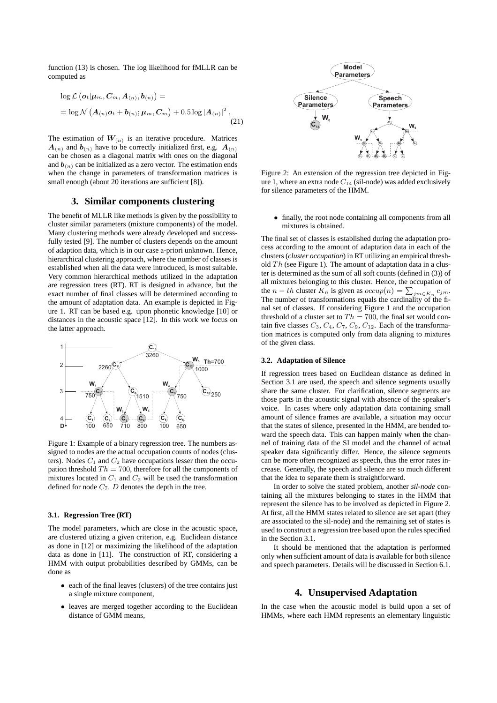function (13) is chosen. The log likelihood for fMLLR can be computed as

$$
\log \mathcal{L}\left(\boldsymbol{o}_{t}|\boldsymbol{\mu}_{m},\boldsymbol{C}_{m},\boldsymbol{A}_{(n)},\boldsymbol{b}_{(n)}\right)=
$$

$$
=\log \mathcal{N}\left(\boldsymbol{A}_{(n)}\boldsymbol{o}_{t}+\boldsymbol{b}_{(n)};\boldsymbol{\mu}_{m},\boldsymbol{C}_{m}\right)+0.5\log |\boldsymbol{A}_{(n)}|^{2}. \tag{21}
$$

The estimation of  $W_{(n)}$  is an iterative procedure. Matrices  $A_{(n)}$  and  $b_{(n)}$  have to be correctly initialized first, e.g.  $A_{(n)}$ can be chosen as a diagonal matrix with ones on the diagonal and  $\mathbf{b}_{(n)}$  can be initialized as a zero vector. The estimation ends when the change in parameters of transformation matrices is small enough (about 20 iterations are sufficient [8]).

## **3. Similar components clustering**

The benefit of MLLR like methods is given by the possibility to cluster similar parameters (mixture components) of the model. Many clustering methods were already developed and successfully tested [9]. The number of clusters depends on the amount of adaption data, which is in our case a-priori unknown. Hence, hierarchical clustering approach, where the number of classes is established when all the data were introduced, is most suitable. Very common hierarchical methods utilized in the adaptation are regression trees (RT). RT is designed in advance, but the exact number of final classes will be determined according to the amount of adaptation data. An example is depicted in Figure 1. RT can be based e.g. upon phonetic knowledge [10] or distances in the acoustic space [12]. In this work we focus on the latter approach.



Figure 1: Example of a binary regression tree. The numbers assigned to nodes are the actual occupation counts of nodes (clusters). Nodes  $C_1$  and  $C_2$  have occupations lesser then the occupation threshold  $Th = 700$ , therefore for all the components of mixtures located in  $C_1$  and  $C_2$  will be used the transformation defined for node  $C_7$ .  $D$  denotes the depth in the tree.

### **3.1. Regression Tree (RT)**

The model parameters, which are close in the acoustic space, are clustered utizing a given criterion, e.g. Euclidean distance as done in [12] or maximizing the likelihood of the adaptation data as done in [11]. The construction of RT, considering a HMM with output probabilities described by GMMs, can be done as

- each of the final leaves (clusters) of the tree contains just a single mixture component,
- leaves are merged together according to the Euclidean distance of GMM means,



Figure 2: An extension of the regression tree depicted in Figure 1, where an extra node  $C_{14}$  (sil-node) was added exclusively for silence parameters of the HMM.

• finally, the root node containing all components from all mixtures is obtained.

The final set of classes is established during the adaptation process according to the amount of adaptation data in each of the clusters (*cluster occupation*) in RT utilizing an empirical threshold  $Th$  (see Figure 1). The amount of adaptation data in a cluster is determined as the sum of all soft counts (defined in (3)) of all mixtures belonging to this cluster. Hence, the occupation of the  $n - th$  cluster  $K_n$  is given as  $occup(n) = \sum_{jm \in K_n} c_{jm}$ . The number of transformations equals the cardinality of the final set of classes. If considering Figure 1 and the occupation threshold of a cluster set to  $Th = 700$ , the final set would contain five classes  $C_3$ ,  $C_4$ ,  $C_7$ ,  $C_9$ ,  $C_{12}$ . Each of the transformation matrices is computed only from data aligning to mixtures of the given class.

#### **3.2. Adaptation of Silence**

If regression trees based on Euclidean distance as defined in Section 3.1 are used, the speech and silence segments usually share the same cluster. For clarification, silence segments are those parts in the acoustic signal with absence of the speaker's voice. In cases where only adaptation data containing small amount of silence frames are available, a situation may occur that the states of silence, presented in the HMM, are bended toward the speech data. This can happen mainly when the channel of training data of the SI model and the channel of actual speaker data significantly differ. Hence, the silence segments can be more often recognized as speech, thus the error rates increase. Generally, the speech and silence are so much different that the idea to separate them is straightforward.

In order to solve the stated problem, another *sil-node* containing all the mixtures belonging to states in the HMM that represent the silence has to be involved as depicted in Figure 2. At first, all the HMM states related to silence are set apart (they are associated to the sil-node) and the remaining set of states is used to construct a regression tree based upon the rules specified in the Section 3.1.

It should be mentioned that the adaptation is performed only when sufficient amount of data is available for both silence and speech parameters. Details will be discussed in Section 6.1.

#### **4. Unsupervised Adaptation**

In the case when the acoustic model is build upon a set of HMMs, where each HMM represents an elementary linguistic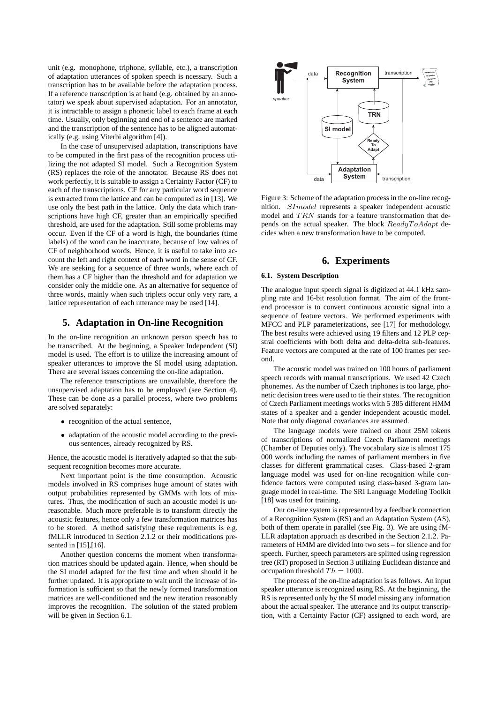unit (e.g. monophone, triphone, syllable, etc.), a transcription of adaptation utterances of spoken speech is ncessary. Such a transcription has to be available before the adaptation process. If a reference transcription is at hand (e.g. obtained by an annotator) we speak about supervised adaptation. For an annotator, it is intractable to assign a phonetic label to each frame at each time. Usually, only beginning and end of a sentence are marked and the transcription of the sentence has to be aligned automatically (e.g. using Viterbi algorithm [4]).

In the case of unsupervised adaptation, transcriptions have to be computed in the first pass of the recognition process utilizing the not adapted SI model. Such a Recognition System (RS) replaces the role of the annotator. Because RS does not work perfectly, it is suitable to assign a Certainty Factor (CF) to each of the transcriptions. CF for any particular word sequence is extracted from the lattice and can be computed as in [13]. We use only the best path in the lattice. Only the data which transcriptions have high CF, greater than an empirically specified threshold, are used for the adaptation. Still some problems may occur. Even if the CF of a word is high, the boundaries (time labels) of the word can be inaccurate, because of low values of CF of neighborhood words. Hence, it is useful to take into account the left and right context of each word in the sense of CF. We are seeking for a sequence of three words, where each of them has a CF higher than the threshold and for adaptation we consider only the middle one. As an alternative for sequence of three words, mainly when such triplets occur only very rare, a lattice representation of each utterance may be used [14].

## **5. Adaptation in On-line Recognition**

In the on-line recognition an unknown person speech has to be transcribed. At the beginning, a Speaker Independent (SI) model is used. The effort is to utilize the increasing amount of speaker utterances to improve the SI model using adaptation. There are several issues concerning the on-line adaptation.

The reference transcriptions are unavailable, therefore the unsupervised adaptation has to be employed (see Section 4). These can be done as a parallel process, where two problems are solved separately:

- recognition of the actual sentence,
- adaptation of the acoustic model according to the previous sentences, already recognized by RS.

Hence, the acoustic model is iteratively adapted so that the subsequent recognition becomes more accurate.

Next important point is the time consumption. Acoustic models involved in RS comprises huge amount of states with output probabilities represented by GMMs with lots of mixtures. Thus, the modification of such an acoustic model is unreasonable. Much more preferable is to transform directly the acoustic features, hence only a few transformation matrices has to be stored. A method satisfying these requirements is e.g. fMLLR introduced in Section 2.1.2 or their modifications presented in [15],[16].

Another question concerns the moment when transformation matrices should be updated again. Hence, when should be the SI model adapted for the first time and when should it be further updated. It is appropriate to wait until the increase of information is sufficient so that the newly formed transformation matrices are well-conditioned and the new iteration reasonably improves the recognition. The solution of the stated problem will be given in Section 6.1.



Figure 3: Scheme of the adaptation process in the on-line recognition. SImodel represents a speaker independent acoustic model and  $TRN$  stands for a feature transformation that depends on the actual speaker. The block ReadyToAdapt decides when a new transformation have to be computed.

## **6. Experiments**

#### **6.1. System Description**

The analogue input speech signal is digitized at 44.1 kHz sampling rate and 16-bit resolution format. The aim of the frontend processor is to convert continuous acoustic signal into a sequence of feature vectors. We performed experiments with MFCC and PLP parameterizations, see [17] for methodology. The best results were achieved using 19 filters and 12 PLP cepstral coefficients with both delta and delta-delta sub-features. Feature vectors are computed at the rate of 100 frames per second.

The acoustic model was trained on 100 hours of parliament speech records with manual transcriptions. We used 42 Czech phonemes. As the number of Czech triphones is too large, phonetic decision trees were used to tie their states. The recognition of Czech Parliament meetings works with 5 385 different HMM states of a speaker and a gender independent acoustic model. Note that only diagonal covariances are assumed.

The language models were trained on about 25M tokens of transcriptions of normalized Czech Parliament meetings (Chamber of Deputies only). The vocabulary size is almost 175 000 words including the names of parliament members in five classes for different grammatical cases. Class-based 2-gram language model was used for on-line recognition while confidence factors were computed using class-based 3-gram language model in real-time. The SRI Language Modeling Toolkit [18] was used for training.

Our on-line system is represented by a feedback connection of a Recognition System (RS) and an Adaptation System (AS), both of them operate in parallel (see Fig. 3). We are using fM-LLR adaptation approach as described in the Section 2.1.2. Parameters of HMM are divided into two sets – for silence and for speech. Further, speech parameters are splitted using regression tree (RT) proposed in Section 3 utilizing Euclidean distance and occupation threshold  $Th = 1000$ .

The process of the on-line adaptation is as follows. An input speaker utterance is recognized using RS. At the beginning, the RS is represented only by the SI model missing any information about the actual speaker. The utterance and its output transcription, with a Certainty Factor (CF) assigned to each word, are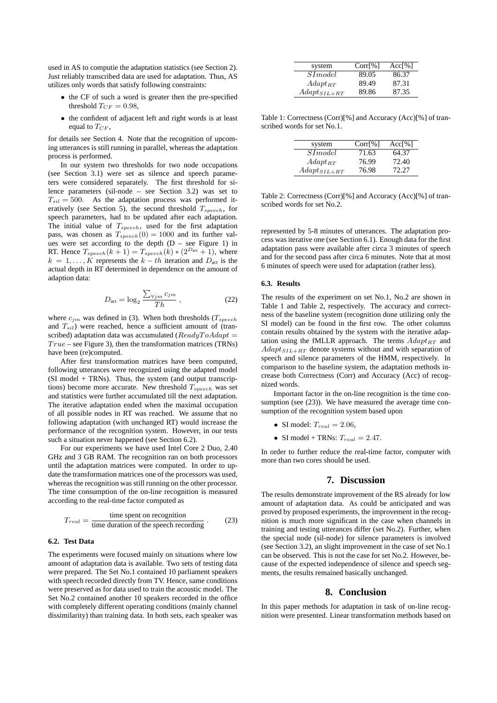used in AS to computie the adaptation statistics (see Section 2). Just reliably transcribed data are used for adaptation. Thus, AS utilizes only words that satisfy following constraints:

- the CF of such a word is greater then the pre-specified threshold  $T_{CF} = 0.98$ ,
- the confident of adjacent left and right words is at least equal to  $T_{CF}$ .

for details see Section 4. Note that the recognition of upcoming utterances is still running in parallel, whereas the adaptation process is performed.

In our system two thresholds for two node occupations (see Section 3.1) were set as silence and speech parameters were considered separately. The first threshold for silence parameters (sil-node – see Section 3.2) was set to  $T_{sil} = 500$ . As the adaptation process was performed iteratively (see Section 5), the second threshold  $T_{speech}$ , for speech parameters, had to be updated after each adaptation. The initial value of  $T_{spect}$ , used for the first adaptation pass, was chosen as  $T_{spect}(0) = 1000$  and its further values were set according to the depth  $(D - \text{see Figure 1})$  in RT. Hence  $T_{speech}(k+1) = T_{speech}(k) * (2^{D_{act}} + 1)$ , where  $k = 1, \ldots, K$  represents the  $k - th$  iteration and  $D_{\text{act}}$  is the actual depth in RT determined in dependence on the amount of adaption data:

$$
D_{\text{act}} = \log_2 \frac{\sum_{\forall j m} c_{j m}}{Th}, \qquad (22)
$$

where  $c_{jm}$  was defined in (3). When both thresholds ( $T_{speech}$ and  $T_{sil}$ ) were reached, hence a sufficient amount of (transcribed) adaptation data was accumulated ( $ReaduToAdapt =$  $True - see Figure 3$ , then the transformation matrices (TRNs) have been (re)computed.

After first transformation matrices have been computed, following utterances were recognized using the adapted model (SI model + TRNs). Thus, the system (and output transcriptions) become more accurate. New threshold  $T_{speech}$  was set and statistics were further accumulated till the next adaptation. The iterative adaptation ended when the maximal occupation of all possible nodes in RT was reached. We assume that no following adaptation (with unchanged RT) would increase the performance of the recognition system. However, in our tests such a situation never happened (see Section 6.2).

For our experiments we have used Intel Core 2 Duo, 2.40 GHz and 3 GB RAM. The recognition ran on both processors until the adaptation matrices were computed. In order to update the transformation matrices one of the processors was used, whereas the recognition was still running on the other processor. The time consumption of the on-line recognition is measured according to the real-time factor computed as

$$
T_{real} = \frac{\text{time spent on recognition}}{\text{time duration of the speech recording}} \tag{23}
$$

#### **6.2. Test Data**

The experiments were focused mainly on situations where low amount of adaptation data is available. Two sets of testing data were prepared. The Set No.1 contained 10 parliament speakers with speech recorded directly from TV. Hence, same conditions were preserved as for data used to train the acoustic model. The Set No.2 contained another 10 speakers recorded in the office with completely different operating conditions (mainly channel dissimilarity) than training data. In both sets, each speaker was

| system           | Corr[%] | Acc[%] |
|------------------|---------|--------|
| SIModel          | 89.05   | 86.37  |
| $Adapt_{RT}$     | 89.49   | 87.31  |
| $Adapt_{SIL+RT}$ | 89.86   | 87.35  |

Table 1: Correctness (Corr)[%] and Accuracy (Acc)[%] of transcribed words for set No.1.

| system           | Corr[%] | Acc[%] |
|------------------|---------|--------|
| SIModel          | 71.63   | 64.37  |
| $Adapt_{RT}$     | 76.99   | 72.40  |
| $Adapt_{SIL+RT}$ | 76.98   | 72.27  |

Table 2: Correctness (Corr)[%] and Accuracy (Acc)[%] of transcribed words for set No.2.

represented by 5-8 minutes of utterances. The adaptation process was iterative one (see Section 6.1). Enough data for the first adaptation pass were available after circa 3 minutes of speech and for the second pass after circa 6 minutes. Note that at most 6 minutes of speech were used for adaptation (rather less).

#### **6.3. Results**

The results of the experiment on set No.1, No.2 are shown in Table 1 and Table 2, respectively. The accuracy and correctness of the baseline system (recognition done utilizing only the SI model) can be found in the first row. The other columns contain results obtained by the system with the iterative adaptation using the fMLLR approach. The terms  $Adapt_{RT}$  and  $Adapt_{SIL+RT}$  denote systems without and with separation of speech and silence parameters of the HMM, respectively. In comparison to the baseline system, the adaptation methods increase both Correctness (Corr) and Accuracy (Acc) of recognized words.

Important factor in the on-line recognition is the time consumption (see (23)). We have measured the average time consumption of the recognition system based upon

- SI model:  $T_{real} = 2.06$ ,
- SI model + TRNs:  $T_{real} = 2.47$ .

In order to further reduce the real-time factor, computer with more than two cores should be used.

## **7. Discussion**

The results demonstrate improvement of the RS already for low amount of adaptation data. As could be anticipated and was proved by proposed experiments, the improvement in the recognition is much more significant in the case when channels in training and testing utterances differ (set No.2). Further, when the special node (sil-node) for silence parameters is involved (see Section 3.2), an slight improvement in the case of set No.1 can be observed. This is not the case for set No.2. However, because of the expected independence of silence and speech segments, the results remained basically unchanged.

#### **8. Conclusion**

In this paper methods for adaptation in task of on-line recognition were presented. Linear transformation methods based on